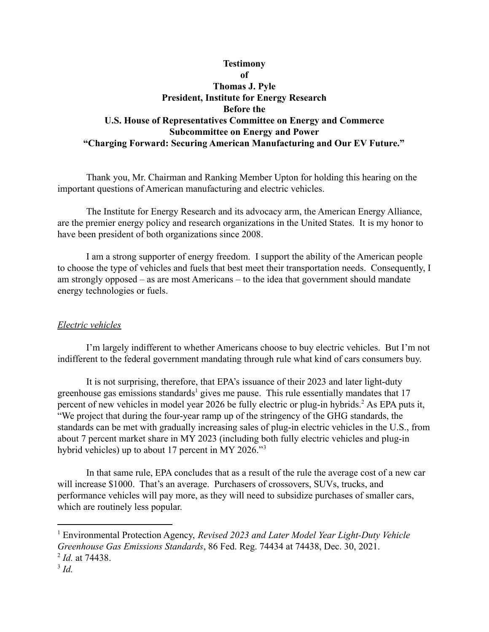# **Testimony of Thomas J. Pyle President, Institute for Energy Research Before the U.S. House of Representatives Committee on Energy and Commerce Subcommittee on Energy and Power "Charging Forward: Securing American Manufacturing and Our EV Future."**

Thank you, Mr. Chairman and Ranking Member Upton for holding this hearing on the important questions of American manufacturing and electric vehicles.

The Institute for Energy Research and its advocacy arm, the American Energy Alliance, are the premier energy policy and research organizations in the United States. It is my honor to have been president of both organizations since 2008.

I am a strong supporter of energy freedom. I support the ability of the American people to choose the type of vehicles and fuels that best meet their transportation needs. Consequently, I am strongly opposed – as are most Americans – to the idea that government should mandate energy technologies or fuels.

## *Electric vehicles*

I'm largely indifferent to whether Americans choose to buy electric vehicles. But I'm not indifferent to the federal government mandating through rule what kind of cars consumers buy.

It is not surprising, therefore, that EPA's issuance of their [2023 and later light-duty](https://www.govinfo.gov/content/pkg/FR-2021-12-30/pdf/2021-27854.pdf) [greenhouse gas emissions standards](https://www.govinfo.gov/content/pkg/FR-2021-12-30/pdf/2021-27854.pdf)<sup>1</sup> gives me pause. This rule essentially mandates that  $17$ percent of new vehicles in model year 2026 be fully electric or plug-in hybrids.<sup>2</sup> As EPA puts it, "We project that during the four-year ramp up of the stringency of the GHG standards, the standards can be met with gradually increasing sales of plug-in electric vehicles in the U.S., from about 7 percent market share in MY 2023 (including both fully electric vehicles and plug-in hybrid vehicles) up to about 17 percent in MY 2026."<sup>3</sup>

In that same rule, EPA concludes that as a result of the rule the average cost of a new car will increase \$1000. That's an average. Purchasers of crossovers, SUVs, trucks, and performance vehicles will pay more, as they will need to subsidize purchases of smaller cars, which are routinely less popular.

<sup>2</sup> *Id.* at 74438. <sup>1</sup> Environmental Protection Agency, *Revised 2023 and Later Model Year Light-Duty Vehicle Greenhouse Gas Emissions Standards*, 86 Fed. Reg. 74434 at 74438, Dec. 30, 2021.

<sup>3</sup> *Id.*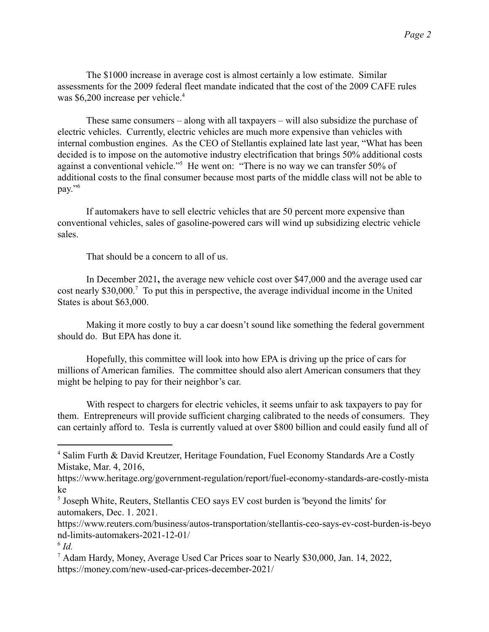The \$1000 increase in average cost is almost certainly a low estimate. Similar assessments for the 2009 federal fleet mandate indicated that the cost of the 2009 CAFE rules was \$6,200 increase per vehicle.<sup>4</sup>

These same consumers – along with all taxpayers – will also subsidize the purchase of electric vehicles. Currently, electric vehicles are much more expensive than vehicles with internal combustion engines. As the CEO of Stellantis explained late last year, "What has been decided is to impose on the automotive industry electrification that brings 50% additional costs against a conventional vehicle."<sup>5</sup> He went on: "There is no way we can transfer  $50\%$  of additional costs to the final consumer because most parts of the middle class will not be able to pay."<sup>6</sup>

If automakers have to sell electric vehicles that are 50 percent more expensive than conventional vehicles, sales of gasoline-powered cars will wind up subsidizing electric vehicle sales.

That should be a concern to all of us.

In December 2021**,** the average new vehicle cost over \$47,000 and the average used car cost nearly  $$30,000$ .<sup>7</sup> To put this in perspective, the average individual income in the United States is about \$63,000.

Making it more costly to buy a car doesn't sound like something the federal government should do. But EPA has done it.

Hopefully, this committee will look into how EPA is driving up the price of cars for millions of American families. The committee should also alert American consumers that they might be helping to pay for their neighbor's car.

With respect to chargers for electric vehicles, it seems unfair to ask taxpayers to pay for them. Entrepreneurs will provide sufficient charging calibrated to the needs of consumers. They can certainly afford to. Tesla is currently valued at over \$800 billion and could easily fund all of

<sup>4</sup> Salim Furth & David Kreutzer, Heritage Foundation, Fuel Economy Standards Are a Costly Mistake, Mar. 4, 2016,

https://www.heritage.org/government-regulation/report/fuel-economy-standards-are-costly-mista ke

<sup>&</sup>lt;sup>5</sup> Joseph White, Reuters, Stellantis CEO says EV cost burden is 'beyond the limits' for automakers, Dec. 1. 2021.

https://www.reuters.com/business/autos-transportation/stellantis-ceo-says-ev-cost-burden-is-beyo nd-limits-automakers-2021-12-01/

<sup>6</sup> *Id.*

<sup>7</sup> Adam Hardy, Money, Average Used Car Prices soar to Nearly \$30,000, Jan. 14, 2022, https://money.com/new-used-car-prices-december-2021/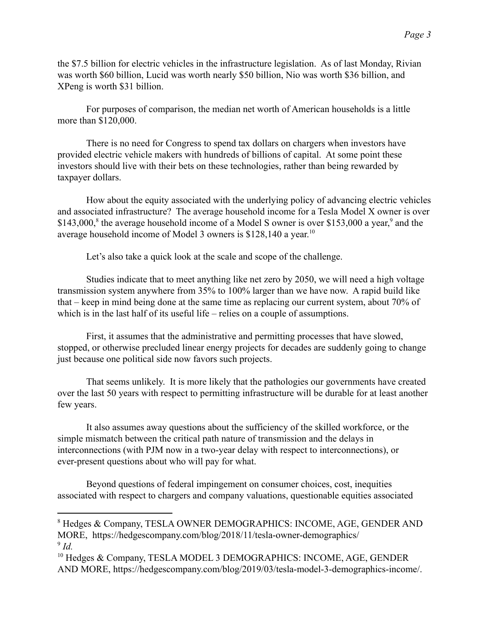the \$7.5 billion for electric vehicles in the infrastructure legislation. As of last Monday, Rivian was worth \$60 billion, Lucid was worth nearly \$50 billion, Nio was worth \$36 billion, and XPeng is worth \$31 billion.

For purposes of comparison, the median net worth of American households is a little more than \$120,000.

There is no need for Congress to spend tax dollars on chargers when investors have provided electric vehicle makers with hundreds of billions of capital. At some point these investors should live with their bets on these technologies, rather than being rewarded by taxpayer dollars.

How about the equity associated with the underlying policy of advancing electric vehicles and associated infrastructure? The average household income for a Tesla [Model X owner](https://hedgescompany.com/blog/2018/11/tesla-owner-demographics/) is over  $$143,000$ ,<sup>8</sup> the average household income of a Model [S owner](https://hedgescompany.com/blog/2018/11/tesla-owner-demographics/) is over \$153,000 a year,<sup>9</sup> and the average household income of [Model 3 owners](https://hedgescompany.com/blog/2019/03/tesla-model-3-demographics-income/) is \$128,140 a year.<sup>10</sup>

Let's also take a quick look at the scale and scope of the challenge.

Studies indicate that to meet anything like net zero by 2050, we will need a high voltage transmission system anywhere from 35% to 100% larger than we have now. A rapid build like that – keep in mind being done at the same time as replacing our current system, about 70% of which is in the last half of its useful life – relies on a couple of assumptions.

First, it assumes that the administrative and permitting processes that have slowed, stopped, or otherwise precluded linear energy projects for decades are suddenly going to change just because one political side now favors such projects.

That seems unlikely. It is more likely that the pathologies our governments have created over the last 50 years with respect to permitting infrastructure will be durable for at least another few years.

It also assumes away questions about the sufficiency of the skilled workforce, or the simple mismatch between the critical path nature of transmission and the delays in interconnections (with PJM now in a two-year delay with respect to interconnections), or ever-present questions about who will pay for what.

Beyond questions of federal impingement on consumer choices, cost, inequities associated with respect to chargers and company valuations, questionable equities associated

<sup>9</sup> *Id.* <sup>8</sup> Hedges & Company, TESLA OWNER DEMOGRAPHICS: INCOME, AGE, GENDER AND MORE, https://hedgescompany.com/blog/2018/11/tesla-owner-demographics/

<sup>&</sup>lt;sup>10</sup> Hedges & Company, TESLA MODEL 3 DEMOGRAPHICS: INCOME, AGE, GENDER AND MORE, https://hedgescompany.com/blog/2019/03/tesla-model-3-demographics-income/.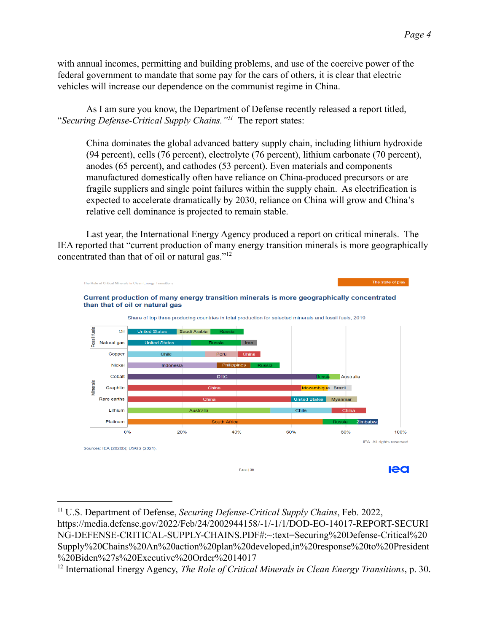with annual incomes, permitting and building problems, and use of the coercive power of the federal government to mandate that some pay for the cars of others, it is clear that electric vehicles will increase our dependence on the communist regime in China.

As I am sure you know, the Department of Defense recently released a report titled, "*Securing Defense-Critical Supply Chains.*"<sup>*11*</sup> The report states:

China dominates the global advanced battery supply chain, including lithium hydroxide (94 percent), cells (76 percent), electrolyte (76 percent), lithium carbonate (70 percent), anodes (65 percent), and cathodes (53 percent). Even materials and components manufactured domestically often have reliance on China-produced precursors or are fragile suppliers and single point failures within the supply chain. As electrification is expected to accelerate dramatically by 2030, reliance on China will grow and China's relative cell dominance is projected to remain stable.

Last year, the International Energy Agency produced a report on critical minerals. The IEA reported that "current production of many energy transition minerals is more geographically concentrated than that of oil or natural gas."<sup>12</sup>



<sup>11</sup> U.S. Department of Defense, *Securing Defense-Critical Supply Chains*, Feb. 2022, https://media.defense.gov/2022/Feb/24/2002944158/-1/-1/1/DOD-EO-14017-REPORT-SECURI NG-DEFENSE-CRITICAL-SUPPLY-CHAINS.PDF#:~:text=Securing%20Defense-Critical%20 Supply%20Chains%20An%20action%20plan%20developed,in%20response%20to%20President %20Biden%27s%20Executive%20Order%2014017

<sup>12</sup> International Energy Agency, *The Role of Critical Minerals in Clean Energy Transitions*, p. 30.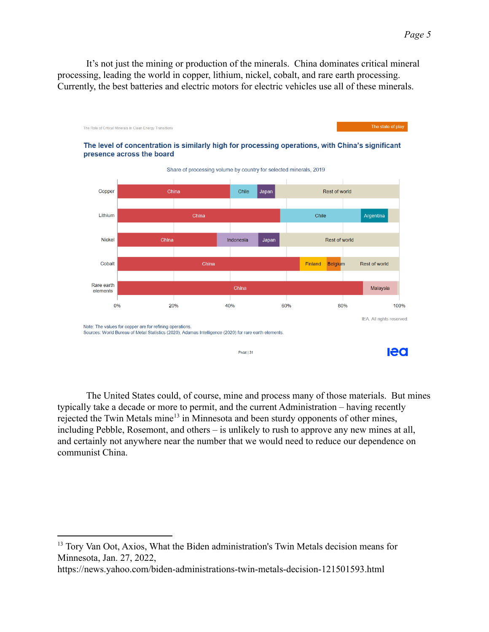It's not just the mining or production of the minerals. China dominates critical mineral processing, leading the world in copper, lithium, nickel, cobalt, and rare earth processing. Currently, the best batteries and electric motors for electric vehicles use all of these minerals.



The United States could, of course, mine and process many of those materials. But mines typically take a decade or more to permit, and the current Administration – having recently rejected the Twin Metals mine $<sup>13</sup>$  in Minnesota and been sturdy opponents of other mines,</sup> including Pebble, Rosemont, and others – is unlikely to rush to approve any new mines at all, and certainly not anywhere near the number that we would need to reduce our dependence on communist China.

https://news.yahoo.com/biden-administrations-twin-metals-decision-121501593.html

<sup>&</sup>lt;sup>13</sup> Tory Van Oot, Axios, What the Biden administration's Twin Metals decision means for Minnesota, Jan. 27, 2022,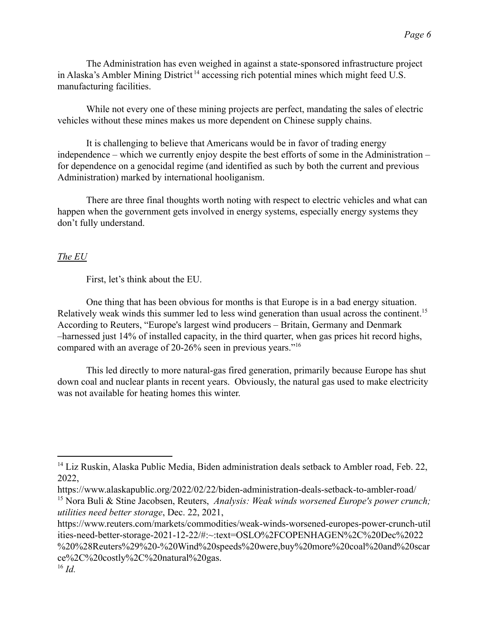The Administration has even weighed in against a state-sponsored infrastructure project in Alaska's Ambler Mining District<sup>14</sup> accessing rich potential mines which might feed U.S. manufacturing facilities.

While not every one of these mining projects are perfect, mandating the sales of electric vehicles without these mines makes us more dependent on Chinese supply chains.

It is challenging to believe that Americans would be in favor of trading energy independence – which we currently enjoy despite the best efforts of some in the Administration – for dependence on a genocidal regime (and identified as such by both the current and previous Administration) marked by international hooliganism.

There are three final thoughts worth noting with respect to electric vehicles and what can happen when the government gets involved in energy systems, especially energy systems they don't fully understand.

### *The EU*

First, let's think about the EU.

One thing that has been obvious for months is that Europe is in a bad energy situation. Relatively weak winds this summer led to less wind generation than usual across the continent.<sup>15</sup> According to Reuters, "Europe's largest wind producers – Britain, Germany and Denmark –harnessed just 14% of installed capacity, in the third quarter, when gas prices hit record highs, compared with an average of 20-26% seen in previous years."<sup>16</sup>

This led directly to more natural-gas fired generation, primarily because Europe has shut down coal and nuclear plants in recent years. Obviously, the natural gas used to make electricity was not available for heating homes this winter.

 $14$  Liz Ruskin, Alaska Public Media, Biden administration deals setback to Ambler road, Feb. 22, 2022,

https://www.alaskapublic.org/2022/02/22/biden-administration-deals-setback-to-ambler-road/

<sup>15</sup> Nora Buli & Stine Jacobsen, Reuters, *Analysis: Weak winds worsened Europe's power crunch; utilities need better storage*, Dec. 22, 2021,

https://www.reuters.com/markets/commodities/weak-winds-worsened-europes-power-crunch-util ities-need-better-storage-2021-12-22/#:~:text=OSLO%2FCOPENHAGEN%2C%20Dec%2022 %20%28Reuters%29%20-%20Wind%20speeds%20were,buy%20more%20coal%20and%20scar ce%2C%20costly%2C%20natural%20gas.

<sup>16</sup> *Id.*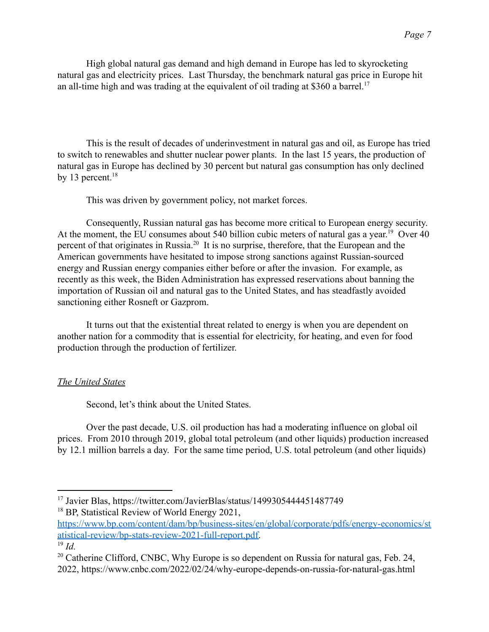High global natural gas demand and high demand in Europe has led to skyrocketing natural gas and electricity prices. Last Thursday, the benchmark natural gas price in Europe hit an all-time high and was trading at the equivalent of oil trading at \$360 a barrel.<sup>17</sup>

This is the result of decades of underinvestment in natural gas and oil, as Europe has tried to switch to renewables and shutter nuclear power plants. In the last 15 years, the production of natural gas in Europe has declined by 30 percent but natural gas consumption has only declined by 13 percent. $18$ 

This was driven by government policy, not market forces.

Consequently, Russian natural gas has become more critical to European energy security. At the moment, the EU consumes about 540 billion cubic meters of natural gas a year.<sup>19</sup> Over 40 percent of that originates in Russia.<sup>20</sup> It is no surprise, therefore, that the European and the American governments have hesitated to impose strong sanctions against Russian-sourced energy and Russian energy companies either before or after the invasion. For example, as recently as this week, the Biden Administration has expressed reservations about banning the importation of Russian oil and natural gas to the United States, and has steadfastly avoided sanctioning either Rosneft or Gazprom.

It turns out that the existential threat related to energy is when you are dependent on another nation for a commodity that is essential for electricity, for heating, and even for food production through the production of fertilizer.

#### *The United States*

Second, let's think about the United States.

Over the past decade, U.S. oil production has had a moderating influence on global oil prices. From 2010 through 2019, global total petroleum (and other liquids) production increased by 12.1 million barrels a day. For the same time period, U.S. total petroleum (and other liquids)

[https://www.bp.com/content/dam/bp/business-sites/en/global/corporate/pdfs/energy-economics/st](https://www.bp.com/content/dam/bp/business-sites/en/global/corporate/pdfs/energy-economics/statistical-review/bp-stats-review-2021-full-report.pdf) [atistical-review/bp-stats-review-2021-full-report.pdf.](https://www.bp.com/content/dam/bp/business-sites/en/global/corporate/pdfs/energy-economics/statistical-review/bp-stats-review-2021-full-report.pdf)

<sup>&</sup>lt;sup>18</sup> BP, Statistical Review of World Energy 2021, <sup>17</sup> Javier Blas, https://twitter.com/JavierBlas/status/1499305444451487749

<sup>19</sup> *Id.*

 $20$  Catherine Clifford, CNBC, Why Europe is so dependent on Russia for natural gas, Feb. 24, 2022, https://www.cnbc.com/2022/02/24/why-europe-depends-on-russia-for-natural-gas.html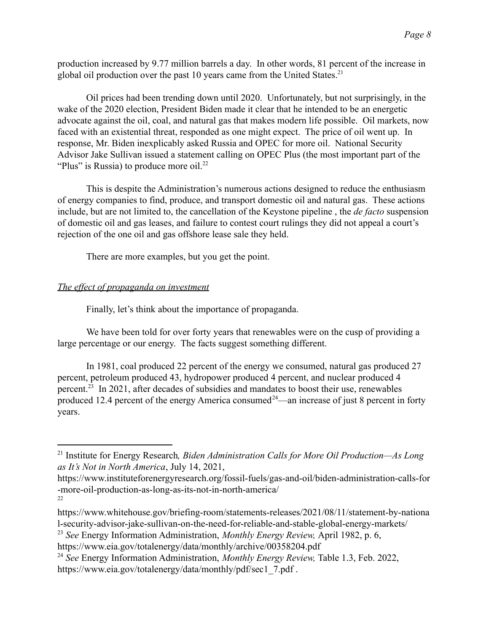production increased by 9.77 million barrels a day. In other words, 81 percent of the increase in global oil production over the past 10 years came from the United States. $^{21}$ 

Oil prices had been trending down until 2020. Unfortunately, but not surprisingly, in the wake of the 2020 election, President Biden made it clear that he intended to be an energetic advocate against the oil, coal, and natural gas that makes modern life possible. Oil markets, now faced with an existential threat, responded as one might expect. The price of oil went up. In response, Mr. Biden inexplicably asked Russia and OPEC for more oil. National Security Advisor Jake Sullivan issued a statement calling on OPEC Plus (the most important part of the "Plus" is Russia) to produce more oil. $^{22}$ 

This is despite the Administration's numerous actions designed to reduce the enthusiasm of energy companies to find, produce, and transport domestic oil and natural gas. These actions include, but are not limited to, the cancellation of the Keystone pipeline , the *de facto* suspension of domestic oil and gas leases, and failure to contest court rulings they did not appeal a court's rejection of the one oil and gas offshore lease sale they held.

There are more examples, but you get the point.

### *The effect of propaganda on investment*

Finally, let's think about the importance of propaganda.

We have been told for over forty years that renewables were on the cusp of providing a large percentage or our energy. The facts suggest something different.

In 1981, coal produced 22 percent of the energy we consumed, natural gas produced 27 percent, petroleum produced 43, hydropower produced 4 percent, and nuclear produced 4 percent.<sup>23</sup> In 2021, after decades of subsidies and mandates to boost their use, renewables produced 12.4 percent of the energy America consumed  $24$ —an increase of just 8 percent in forty years.

https://www.eia.gov/totalenergy/data/monthly/archive/00358204.pdf

<sup>24</sup> *See* Energy Information Administration, *Monthly Energy Review,* Table 1.3, Feb. 2022, https://www.eia.gov/totalenergy/data/monthly/pdf/sec1\_7.pdf .

<sup>21</sup> Institute for Energy Research*, Biden Administration Calls for More Oil Production—As Long as It's Not in North America*, July 14, 2021,

<sup>22</sup> https://www.instituteforenergyresearch.org/fossil-fuels/gas-and-oil/biden-administration-calls-for -more-oil-production-as-long-as-its-not-in-north-america/

https://www.whitehouse.gov/briefing-room/statements-releases/2021/08/11/statement-by-nationa l-security-advisor-jake-sullivan-on-the-need-for-reliable-and-stable-global-energy-markets/

<sup>23</sup> *See* Energy Information Administration, *Monthly Energy Review,* April 1982, p. 6,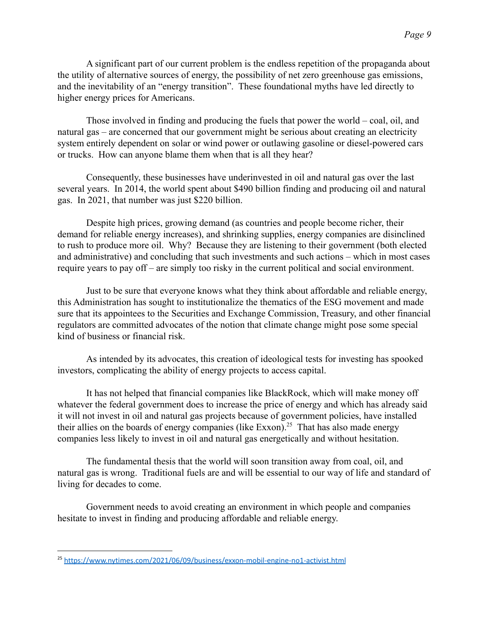A significant part of our current problem is the endless repetition of the propaganda about the utility of alternative sources of energy, the possibility of net zero greenhouse gas emissions, and the inevitability of an "energy transition". These foundational myths have led directly to higher energy prices for Americans.

Those involved in finding and producing the fuels that power the world – coal, oil, and natural gas – are concerned that our government might be serious about creating an electricity system entirely dependent on solar or wind power or outlawing gasoline or diesel-powered cars or trucks. How can anyone blame them when that is all they hear?

Consequently, these businesses have underinvested in oil and natural gas over the last several years. In 2014, the world spent about \$490 billion finding and producing oil and natural gas. In 2021, that number was just \$220 billion.

Despite high prices, growing demand (as countries and people become richer, their demand for reliable energy increases), and shrinking supplies, energy companies are disinclined to rush to produce more oil. Why? Because they are listening to their government (both elected and administrative) and concluding that such investments and such actions – which in most cases require years to pay off – are simply too risky in the current political and social environment.

Just to be sure that everyone knows what they think about affordable and reliable energy, this Administration has sought to institutionalize the thematics of the ESG movement and made sure that its appointees to the Securities and Exchange Commission, Treasury, and other financial regulators are committed advocates of the notion that climate change might pose some special kind of business or financial risk.

As intended by its advocates, this creation of ideological tests for investing has spooked investors, complicating the ability of energy projects to access capital.

It has not helped that financial companies like BlackRock, which will make money off whatever the federal government does to increase the price of energy and which has already said it will not invest in oil and natural gas projects because of government policies, have installed their allies on the boards of energy companies (like Exxon).<sup>25</sup> That has also made energy companies less likely to invest in oil and natural gas energetically and without hesitation.

The fundamental thesis that the world will soon transition away from coal, oil, and natural gas is wrong. Traditional fuels are and will be essential to our way of life and standard of living for decades to come.

Government needs to avoid creating an environment in which people and companies hesitate to invest in finding and producing affordable and reliable energy.

<sup>25</sup> <https://www.nytimes.com/2021/06/09/business/exxon-mobil-engine-no1-activist.html>